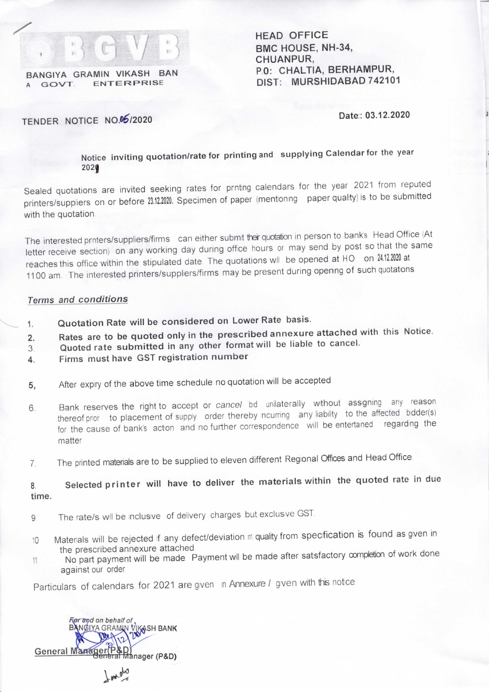

BANGIYA GRAMIN VIKASH BAN **ENTERPRISE** 

HEAD OFFICE BMC HOUSE, NH-34, CHUANPUR, P,0: CHALTIA, BERHAMPUR, DIST: MURSHIDABAD 742101

Date:: 03.12.2020

## TENDER NOTICE NO.06/2020

Notice inviting quotation/rate for printing and supplying Calendar for the year 2021

Sealed quotations are invited seeking rates for printing calendars for the year 2021 from reputed printers/suppliers on or before 23.12.2020. Specimen of paper (mentioning paper quality) is to be submitted with the quotation

The interested printers/suppliers/firms can either submit their quotation in person to bank's Head Office (At letter receive section) on any working day during office hours or may send by post so that the same reaches this office within the stipulated date. The quotations will be opened at HO on 24.12.2020 at 1100 am. The interested printers/suppliers/firms may be present during opening of such quotations

## Terms and conditions

- Quotation Rate will be considered on Lower Rate basis.  $1.$
- Rates are to be quoted only in the prescribed annexure attached with this Notice.  $\overline{2}$ .
- Quoted rate submitted in any other formatwill be liable to cancel. 3
- Firms must have GST registration number 4.
- After expiry of the above time schedule no quotation will be accepted 5.
- Bank reserves the right to accept or cancel bid unilaterally without assigning any reason  $6.$ thereof pror to placement of supply order thereby ncurring any liability to the affected bidder(s) for the cause of bank's action and no further correspondence wlll be entertained regarding the matter
- 7. The printed materials are to be supplied to eleven different Regional Offices and Head Office.

## 8. Selected printer will have to deliver the materials within the quoted rate in due time.

- 9 The rate/s will be inclusive of delivery charges but exclusive GST.
- 10 Matenals will be rejected if any defect/deviation in quality from specification is found as given in the prescribed annexure attached
- 11. No part payment will be made. Payment will be made after satsfactory completion of work done against our order

Particulars of calendars for 2021 are given in Annexure / given with this notice.



 $\frac{1}{2}$  and  $\frac{1}{2}$